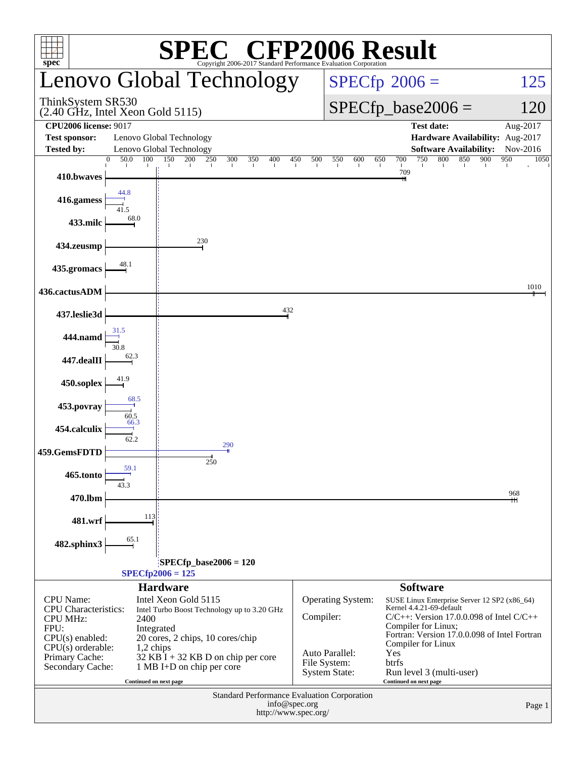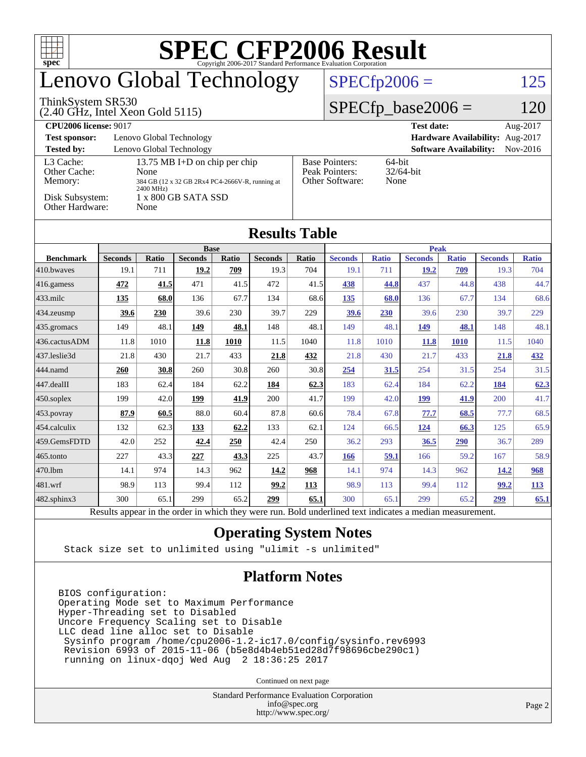| <b>SPEC CFP2006 Result</b><br>TZT<br>$spec^*$<br>Copyright 2006-2017 Standard Performance Evaluation Corporation |                                                                         |              |                |       |                      |       |                                                        |              |                   |              |                |              |  |
|------------------------------------------------------------------------------------------------------------------|-------------------------------------------------------------------------|--------------|----------------|-------|----------------------|-------|--------------------------------------------------------|--------------|-------------------|--------------|----------------|--------------|--|
| enovo Global Technology                                                                                          |                                                                         |              |                |       |                      |       | $SPECfp2006 =$<br>125                                  |              |                   |              |                |              |  |
| ThinkSystem SR530<br>$(2.40 \text{ GHz}, \text{Intel Xeon Gold } 5115)$                                          |                                                                         |              |                |       |                      |       | $SPECfp\_base2006 =$                                   |              |                   |              |                | <b>20</b>    |  |
| <b>CPU2006 license: 9017</b>                                                                                     |                                                                         |              |                |       |                      |       |                                                        |              | <b>Test date:</b> |              |                | Aug-2017     |  |
| Hardware Availability: Aug-2017<br><b>Test sponsor:</b><br>Lenovo Global Technology                              |                                                                         |              |                |       |                      |       |                                                        |              |                   |              |                |              |  |
| Lenovo Global Technology<br><b>Software Availability:</b><br><b>Tested by:</b><br>Nov-2016                       |                                                                         |              |                |       |                      |       |                                                        |              |                   |              |                |              |  |
| L3 Cache:                                                                                                        | 13.75 MB I+D on chip per chip                                           |              |                |       |                      |       | 64-bit<br><b>Base Pointers:</b>                        |              |                   |              |                |              |  |
| Memory:                                                                                                          | Other Cache:<br>None<br>384 GB (12 x 32 GB 2Rx4 PC4-2666V-R, running at |              |                |       |                      |       | Peak Pointers:<br>32/64-bit<br>Other Software:<br>None |              |                   |              |                |              |  |
| 2400 MHz)<br>Disk Subsystem:<br>1 x 800 GB SATA SSD                                                              |                                                                         |              |                |       |                      |       |                                                        |              |                   |              |                |              |  |
| Other Hardware:<br>None                                                                                          |                                                                         |              |                |       |                      |       |                                                        |              |                   |              |                |              |  |
|                                                                                                                  |                                                                         |              |                |       |                      |       |                                                        |              |                   |              |                |              |  |
|                                                                                                                  |                                                                         |              |                |       | <b>Results Table</b> |       |                                                        |              |                   |              |                |              |  |
| <b>Base</b>                                                                                                      |                                                                         |              |                |       |                      |       | <b>Peak</b>                                            |              |                   |              |                |              |  |
| <b>Benchmark</b>                                                                                                 | <b>Seconds</b>                                                          | <b>Ratio</b> | <b>Seconds</b> | Ratio | <b>Seconds</b>       | Ratio | <b>Seconds</b>                                         | <b>Ratio</b> | <b>Seconds</b>    | <b>Ratio</b> | <b>Seconds</b> | <b>Ratio</b> |  |
| 410.bwayes                                                                                                       | 19.1                                                                    | 711          | 19.2           | 709   | 19.3                 | 704   | 19.1                                                   | 711          | 19.2              | 709          | 19.3           | 704          |  |
| 416.gamess                                                                                                       | 472                                                                     | 41.5         | 471            | 41.5  | 472                  | 41.5  | 438                                                    | 44.8         | 437               | 44.8         | 438            | 44.7         |  |
| 433.milc                                                                                                         | 135                                                                     | 68.0         | 136            | 67.7  | 134                  | 68.6  | 135                                                    | 68.0         | 136               | 67.7         | 134            | 68.6         |  |
| 434.zeusmp                                                                                                       | 39.6                                                                    | 230          | 39.6           | 230   | 39.7                 | 229   | 39.6                                                   | 230          | 39.6              | 230          | 39.7           | 229          |  |
| 435.gromacs                                                                                                      | 149                                                                     | 48.1         | 149            | 48.1  | 148                  | 48.1  | 149                                                    | 48.1         | 149               | 48.1         | 148            | 48.1         |  |
| 436.cactusADM                                                                                                    | 11.8                                                                    | 1010         | 11.8           | 1010  | 11.5                 | 1040  | 11.8                                                   | 1010         | <b>11.8</b>       | <b>1010</b>  | 11.5           | 1040         |  |
| 437.leslie3d                                                                                                     | 21.8                                                                    | 430          | 21.7           | 433   | 21.8                 | 432   | 21.8                                                   | 430          | 21.7              | 433          | 21.8           | 432          |  |
| 444.namd                                                                                                         | 260                                                                     | 30.8         | 260            | 30.8  | 260                  | 30.8  | 254                                                    | 31.5         | 254               | 31.5         | 254            | 31.5         |  |
| 447.dealII                                                                                                       | 183                                                                     | 62.4         | 184            | 62.2  | 184                  | 62.3  | 183                                                    | 62.4         | 184               | 62.2         | 184            | 62.3         |  |
| 450.soplex                                                                                                       | 199                                                                     | 42.0         | 199            | 41.9  | 200                  | 41.7  | 199                                                    | 42.0         | <b>199</b>        | 41.9         | 200            | 41.7         |  |
| 453.povray                                                                                                       | 87.9                                                                    | 60.5         | 88.0           | 60.4  | 87.8                 | 60.6  | 78.4                                                   | 67.8         | 77.7              | 68.5         | 77.7           | 68.5         |  |
| 454.calculix                                                                                                     | 132                                                                     | 62.3         | 133            | 62.2  | 133                  | 62.1  | 124                                                    | 66.5         | 124               | 66.3         | 125            | 65.9         |  |
| 459.GemsFDTD                                                                                                     | 42.0                                                                    | 252          | 42.4           | 250   | 42.4                 | 250   | 36.2                                                   | 293          | 36.5              | 290          | 36.7           | 289          |  |
| 465.tonto                                                                                                        | 227                                                                     | 43.3         | 227            | 43.3  | 225                  | 43.7  | 166                                                    | 59.1         | 166               | 59.2         | 167            | 58.9         |  |
| 470.1bm                                                                                                          | 14.1                                                                    | 974          | 14.3           | 962   | 14.2                 | 968   | 14.1                                                   | 974          | 14.3              | 962          | 14.2           | 968          |  |
| 481.wrf                                                                                                          | 98.9                                                                    | 113          | 99.4           | 112   | 99.2                 | 113   | 98.9                                                   | 113          | 99.4              | 112          | 99.2           | 113          |  |
| 482.sphinx3                                                                                                      | 300                                                                     | 65.1         | 299            | 65.2  | 299                  | 65.1  | 300                                                    | 65.1         | 299               | 65.2         | 299            | 65.1         |  |

Results appear in the [order in which they were run.](http://www.spec.org/auto/cpu2006/Docs/result-fields.html#RunOrder) Bold underlined text [indicates a median measurement.](http://www.spec.org/auto/cpu2006/Docs/result-fields.html#Median)

#### **[Operating System Notes](http://www.spec.org/auto/cpu2006/Docs/result-fields.html#OperatingSystemNotes)**

Stack size set to unlimited using "ulimit -s unlimited"

#### **[Platform Notes](http://www.spec.org/auto/cpu2006/Docs/result-fields.html#PlatformNotes)**

BIOS configuration: Operating Mode set to Maximum Performance Hyper-Threading set to Disabled Uncore Frequency Scaling set to Disable LLC dead line alloc set to Disable Sysinfo program /home/cpu2006-1.2-ic17.0/config/sysinfo.rev6993 Revision 6993 of 2015-11-06 (b5e8d4b4eb51ed28d7f98696cbe290c1) running on linux-dqoj Wed Aug 2 18:36:25 2017

Continued on next page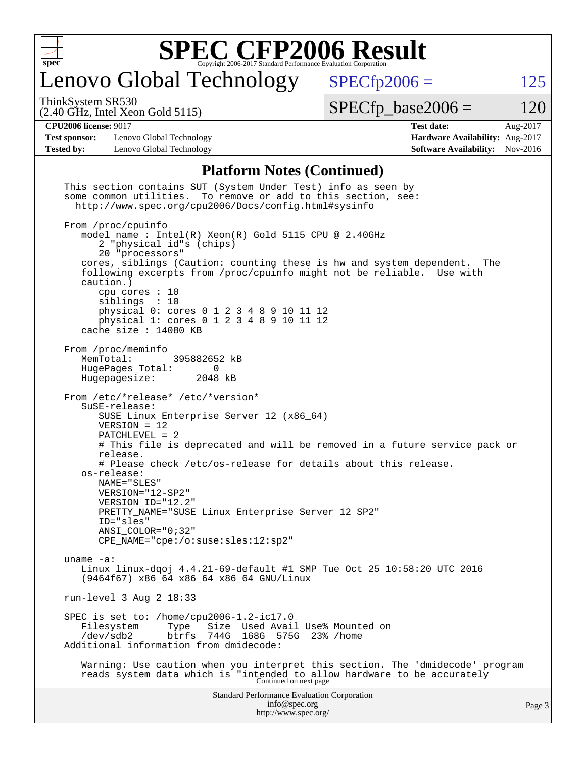

### enovo Global Technology

 $SPECTp2006 = 125$ 

ThinkSystem SR530

(2.40 GHz, Intel Xeon Gold 5115)

 $SPECTp\_base2006 = 120$ 

#### **[CPU2006 license:](http://www.spec.org/auto/cpu2006/Docs/result-fields.html#CPU2006license)** 9017 **[Test date:](http://www.spec.org/auto/cpu2006/Docs/result-fields.html#Testdate)** Aug-2017

**[Test sponsor:](http://www.spec.org/auto/cpu2006/Docs/result-fields.html#Testsponsor)** Lenovo Global Technology **[Hardware Availability:](http://www.spec.org/auto/cpu2006/Docs/result-fields.html#HardwareAvailability)** Aug-2017 **[Tested by:](http://www.spec.org/auto/cpu2006/Docs/result-fields.html#Testedby)** Lenovo Global Technology **[Software Availability:](http://www.spec.org/auto/cpu2006/Docs/result-fields.html#SoftwareAvailability)** Nov-2016

#### **[Platform Notes \(Continued\)](http://www.spec.org/auto/cpu2006/Docs/result-fields.html#PlatformNotes)**

Standard Performance Evaluation Corporation [info@spec.org](mailto:info@spec.org) <http://www.spec.org/> Page 3 This section contains SUT (System Under Test) info as seen by some common utilities. To remove or add to this section, see: <http://www.spec.org/cpu2006/Docs/config.html#sysinfo> From /proc/cpuinfo model name : Intel(R) Xeon(R) Gold 5115 CPU @ 2.40GHz 2 "physical id"s (chips) 20 "processors" cores, siblings (Caution: counting these is hw and system dependent. The following excerpts from /proc/cpuinfo might not be reliable. Use with caution.) cpu cores : 10 siblings : 10 physical 0: cores 0 1 2 3 4 8 9 10 11 12 physical 1: cores 0 1 2 3 4 8 9 10 11 12 cache size : 14080 KB From /proc/meminfo MemTotal: 395882652 kB<br>HugePages Total: 0 HugePages\_Total: 0<br>Hugepagesize: 2048 kB Hugepagesize: From /etc/\*release\* /etc/\*version\* SuSE-release: SUSE Linux Enterprise Server 12 (x86\_64) VERSION = 12 PATCHLEVEL = 2 # This file is deprecated and will be removed in a future service pack or release. # Please check /etc/os-release for details about this release. os-release: NAME="SLES" VERSION="12-SP2" VERSION\_ID="12.2" PRETTY\_NAME="SUSE Linux Enterprise Server 12 SP2" ID="sles" ANSI\_COLOR="0;32" CPE\_NAME="cpe:/o:suse:sles:12:sp2" uname -a: Linux linux-dqoj 4.4.21-69-default #1 SMP Tue Oct 25 10:58:20 UTC 2016 (9464f67) x86\_64 x86\_64 x86\_64 GNU/Linux run-level 3 Aug 2 18:33 SPEC is set to: /home/cpu2006-1.2-ic17.0<br>Filesystem Type Size Used Avai Filesystem Type Size Used-Avail-Use%-Mounted-on-<br>/dev/sdb2 btrfs 744G 168G 575G 23%-/home 744G 168G 575G 23% /home Additional information from dmidecode: Warning: Use caution when you interpret this section. The 'dmidecode' program reads system data which is "intended to allow hardware to be accurately Continued on next page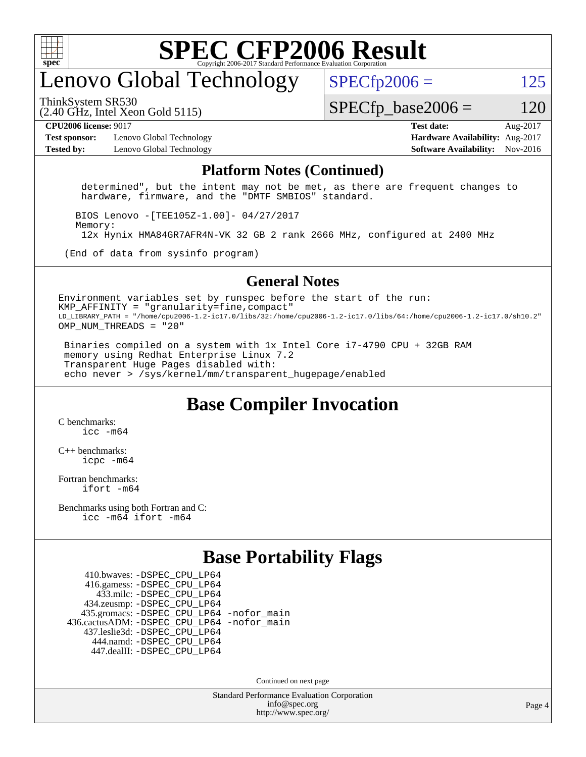

### enovo Global Technology

ThinkSystem SR530

 $SPECfp2006 = 125$  $SPECfp2006 = 125$ 

(2.40 GHz, Intel Xeon Gold 5115)

 $SPECTp\_base2006 = 120$ 

**[Test sponsor:](http://www.spec.org/auto/cpu2006/Docs/result-fields.html#Testsponsor)** Lenovo Global Technology **[Hardware Availability:](http://www.spec.org/auto/cpu2006/Docs/result-fields.html#HardwareAvailability)** Aug-2017 **[Tested by:](http://www.spec.org/auto/cpu2006/Docs/result-fields.html#Testedby)** Lenovo Global Technology **[Software Availability:](http://www.spec.org/auto/cpu2006/Docs/result-fields.html#SoftwareAvailability)** Nov-2016

**[CPU2006 license:](http://www.spec.org/auto/cpu2006/Docs/result-fields.html#CPU2006license)** 9017 **[Test date:](http://www.spec.org/auto/cpu2006/Docs/result-fields.html#Testdate)** Aug-2017

#### **[Platform Notes \(Continued\)](http://www.spec.org/auto/cpu2006/Docs/result-fields.html#PlatformNotes)**

 determined", but the intent may not be met, as there are frequent changes to hardware, firmware, and the "DMTF SMBIOS" standard.

BIOS Lenovo -[TEE105Z-1.00]- 04/27/2017

Memory:

12x Hynix HMA84GR7AFR4N-VK 32 GB 2 rank 2666 MHz, configured at 2400 MHz

(End of data from sysinfo program)

#### **[General Notes](http://www.spec.org/auto/cpu2006/Docs/result-fields.html#GeneralNotes)**

Environment variables set by runspec before the start of the run:  $KMP$  AFFINITY = "granularity=fine, compact" LD\_LIBRARY\_PATH = "/home/cpu2006-1.2-ic17.0/libs/32:/home/cpu2006-1.2-ic17.0/libs/64:/home/cpu2006-1.2-ic17.0/sh10.2" OMP\_NUM\_THREADS = "20"

 Binaries compiled on a system with 1x Intel Core i7-4790 CPU + 32GB RAM memory using Redhat Enterprise Linux 7.2 Transparent Huge Pages disabled with: echo never > /sys/kernel/mm/transparent\_hugepage/enabled

#### **[Base Compiler Invocation](http://www.spec.org/auto/cpu2006/Docs/result-fields.html#BaseCompilerInvocation)**

[C benchmarks](http://www.spec.org/auto/cpu2006/Docs/result-fields.html#Cbenchmarks): [icc -m64](http://www.spec.org/cpu2006/results/res2017q4/cpu2006-20170914-49340.flags.html#user_CCbase_intel_icc_64bit_bda6cc9af1fdbb0edc3795bac97ada53)

[C++ benchmarks:](http://www.spec.org/auto/cpu2006/Docs/result-fields.html#CXXbenchmarks) [icpc -m64](http://www.spec.org/cpu2006/results/res2017q4/cpu2006-20170914-49340.flags.html#user_CXXbase_intel_icpc_64bit_fc66a5337ce925472a5c54ad6a0de310)

[Fortran benchmarks](http://www.spec.org/auto/cpu2006/Docs/result-fields.html#Fortranbenchmarks): [ifort -m64](http://www.spec.org/cpu2006/results/res2017q4/cpu2006-20170914-49340.flags.html#user_FCbase_intel_ifort_64bit_ee9d0fb25645d0210d97eb0527dcc06e)

[Benchmarks using both Fortran and C](http://www.spec.org/auto/cpu2006/Docs/result-fields.html#BenchmarksusingbothFortranandC): [icc -m64](http://www.spec.org/cpu2006/results/res2017q4/cpu2006-20170914-49340.flags.html#user_CC_FCbase_intel_icc_64bit_bda6cc9af1fdbb0edc3795bac97ada53) [ifort -m64](http://www.spec.org/cpu2006/results/res2017q4/cpu2006-20170914-49340.flags.html#user_CC_FCbase_intel_ifort_64bit_ee9d0fb25645d0210d97eb0527dcc06e)

#### **[Base Portability Flags](http://www.spec.org/auto/cpu2006/Docs/result-fields.html#BasePortabilityFlags)**

 410.bwaves: [-DSPEC\\_CPU\\_LP64](http://www.spec.org/cpu2006/results/res2017q4/cpu2006-20170914-49340.flags.html#suite_basePORTABILITY410_bwaves_DSPEC_CPU_LP64) 416.gamess: [-DSPEC\\_CPU\\_LP64](http://www.spec.org/cpu2006/results/res2017q4/cpu2006-20170914-49340.flags.html#suite_basePORTABILITY416_gamess_DSPEC_CPU_LP64) 433.milc: [-DSPEC\\_CPU\\_LP64](http://www.spec.org/cpu2006/results/res2017q4/cpu2006-20170914-49340.flags.html#suite_basePORTABILITY433_milc_DSPEC_CPU_LP64) 434.zeusmp: [-DSPEC\\_CPU\\_LP64](http://www.spec.org/cpu2006/results/res2017q4/cpu2006-20170914-49340.flags.html#suite_basePORTABILITY434_zeusmp_DSPEC_CPU_LP64) 435.gromacs: [-DSPEC\\_CPU\\_LP64](http://www.spec.org/cpu2006/results/res2017q4/cpu2006-20170914-49340.flags.html#suite_basePORTABILITY435_gromacs_DSPEC_CPU_LP64) [-nofor\\_main](http://www.spec.org/cpu2006/results/res2017q4/cpu2006-20170914-49340.flags.html#user_baseLDPORTABILITY435_gromacs_f-nofor_main) 436.cactusADM: [-DSPEC\\_CPU\\_LP64](http://www.spec.org/cpu2006/results/res2017q4/cpu2006-20170914-49340.flags.html#suite_basePORTABILITY436_cactusADM_DSPEC_CPU_LP64) [-nofor\\_main](http://www.spec.org/cpu2006/results/res2017q4/cpu2006-20170914-49340.flags.html#user_baseLDPORTABILITY436_cactusADM_f-nofor_main) 437.leslie3d: [-DSPEC\\_CPU\\_LP64](http://www.spec.org/cpu2006/results/res2017q4/cpu2006-20170914-49340.flags.html#suite_basePORTABILITY437_leslie3d_DSPEC_CPU_LP64) 444.namd: [-DSPEC\\_CPU\\_LP64](http://www.spec.org/cpu2006/results/res2017q4/cpu2006-20170914-49340.flags.html#suite_basePORTABILITY444_namd_DSPEC_CPU_LP64) 447.dealII: [-DSPEC\\_CPU\\_LP64](http://www.spec.org/cpu2006/results/res2017q4/cpu2006-20170914-49340.flags.html#suite_basePORTABILITY447_dealII_DSPEC_CPU_LP64)

Continued on next page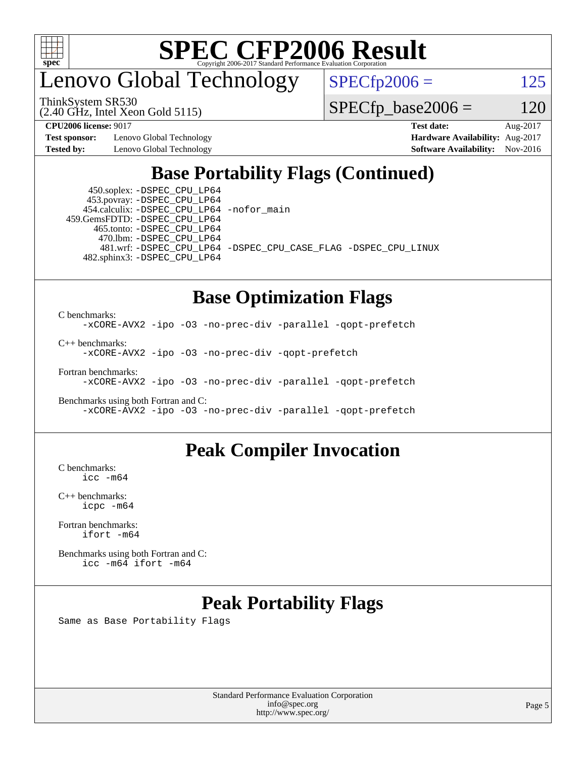

### enovo Global Technology

ThinkSystem SR530

(2.40 GHz, Intel Xeon Gold 5115)

 $SPECfp2006 = 125$  $SPECfp2006 = 125$ 

 $SPECTp\_base2006 = 120$ 

**[Test sponsor:](http://www.spec.org/auto/cpu2006/Docs/result-fields.html#Testsponsor)** Lenovo Global Technology **[Hardware Availability:](http://www.spec.org/auto/cpu2006/Docs/result-fields.html#HardwareAvailability)** Aug-2017

**[CPU2006 license:](http://www.spec.org/auto/cpu2006/Docs/result-fields.html#CPU2006license)** 9017 **[Test date:](http://www.spec.org/auto/cpu2006/Docs/result-fields.html#Testdate)** Aug-2017 **[Tested by:](http://www.spec.org/auto/cpu2006/Docs/result-fields.html#Testedby)** Lenovo Global Technology **[Software Availability:](http://www.spec.org/auto/cpu2006/Docs/result-fields.html#SoftwareAvailability)** Nov-2016

#### **[Base Portability Flags \(Continued\)](http://www.spec.org/auto/cpu2006/Docs/result-fields.html#BasePortabilityFlags)**

 450.soplex: [-DSPEC\\_CPU\\_LP64](http://www.spec.org/cpu2006/results/res2017q4/cpu2006-20170914-49340.flags.html#suite_basePORTABILITY450_soplex_DSPEC_CPU_LP64) 453.povray: [-DSPEC\\_CPU\\_LP64](http://www.spec.org/cpu2006/results/res2017q4/cpu2006-20170914-49340.flags.html#suite_basePORTABILITY453_povray_DSPEC_CPU_LP64) 454.calculix: [-DSPEC\\_CPU\\_LP64](http://www.spec.org/cpu2006/results/res2017q4/cpu2006-20170914-49340.flags.html#suite_basePORTABILITY454_calculix_DSPEC_CPU_LP64) [-nofor\\_main](http://www.spec.org/cpu2006/results/res2017q4/cpu2006-20170914-49340.flags.html#user_baseLDPORTABILITY454_calculix_f-nofor_main) 459.GemsFDTD: [-DSPEC\\_CPU\\_LP64](http://www.spec.org/cpu2006/results/res2017q4/cpu2006-20170914-49340.flags.html#suite_basePORTABILITY459_GemsFDTD_DSPEC_CPU_LP64) 465.tonto: [-DSPEC\\_CPU\\_LP64](http://www.spec.org/cpu2006/results/res2017q4/cpu2006-20170914-49340.flags.html#suite_basePORTABILITY465_tonto_DSPEC_CPU_LP64) 470.lbm: [-DSPEC\\_CPU\\_LP64](http://www.spec.org/cpu2006/results/res2017q4/cpu2006-20170914-49340.flags.html#suite_basePORTABILITY470_lbm_DSPEC_CPU_LP64) 482.sphinx3: [-DSPEC\\_CPU\\_LP64](http://www.spec.org/cpu2006/results/res2017q4/cpu2006-20170914-49340.flags.html#suite_basePORTABILITY482_sphinx3_DSPEC_CPU_LP64)

481.wrf: [-DSPEC\\_CPU\\_LP64](http://www.spec.org/cpu2006/results/res2017q4/cpu2006-20170914-49340.flags.html#suite_basePORTABILITY481_wrf_DSPEC_CPU_LP64) [-DSPEC\\_CPU\\_CASE\\_FLAG](http://www.spec.org/cpu2006/results/res2017q4/cpu2006-20170914-49340.flags.html#b481.wrf_baseCPORTABILITY_DSPEC_CPU_CASE_FLAG) [-DSPEC\\_CPU\\_LINUX](http://www.spec.org/cpu2006/results/res2017q4/cpu2006-20170914-49340.flags.html#b481.wrf_baseCPORTABILITY_DSPEC_CPU_LINUX)

#### **[Base Optimization Flags](http://www.spec.org/auto/cpu2006/Docs/result-fields.html#BaseOptimizationFlags)**

[C benchmarks](http://www.spec.org/auto/cpu2006/Docs/result-fields.html#Cbenchmarks): [-xCORE-AVX2](http://www.spec.org/cpu2006/results/res2017q4/cpu2006-20170914-49340.flags.html#user_CCbase_f-xCORE-AVX2) [-ipo](http://www.spec.org/cpu2006/results/res2017q4/cpu2006-20170914-49340.flags.html#user_CCbase_f-ipo) [-O3](http://www.spec.org/cpu2006/results/res2017q4/cpu2006-20170914-49340.flags.html#user_CCbase_f-O3) [-no-prec-div](http://www.spec.org/cpu2006/results/res2017q4/cpu2006-20170914-49340.flags.html#user_CCbase_f-no-prec-div) [-parallel](http://www.spec.org/cpu2006/results/res2017q4/cpu2006-20170914-49340.flags.html#user_CCbase_f-parallel) [-qopt-prefetch](http://www.spec.org/cpu2006/results/res2017q4/cpu2006-20170914-49340.flags.html#user_CCbase_f-qopt-prefetch)

[C++ benchmarks:](http://www.spec.org/auto/cpu2006/Docs/result-fields.html#CXXbenchmarks)

[-xCORE-AVX2](http://www.spec.org/cpu2006/results/res2017q4/cpu2006-20170914-49340.flags.html#user_CXXbase_f-xCORE-AVX2) [-ipo](http://www.spec.org/cpu2006/results/res2017q4/cpu2006-20170914-49340.flags.html#user_CXXbase_f-ipo) [-O3](http://www.spec.org/cpu2006/results/res2017q4/cpu2006-20170914-49340.flags.html#user_CXXbase_f-O3) [-no-prec-div](http://www.spec.org/cpu2006/results/res2017q4/cpu2006-20170914-49340.flags.html#user_CXXbase_f-no-prec-div) [-qopt-prefetch](http://www.spec.org/cpu2006/results/res2017q4/cpu2006-20170914-49340.flags.html#user_CXXbase_f-qopt-prefetch)

[Fortran benchmarks](http://www.spec.org/auto/cpu2006/Docs/result-fields.html#Fortranbenchmarks):

[-xCORE-AVX2](http://www.spec.org/cpu2006/results/res2017q4/cpu2006-20170914-49340.flags.html#user_FCbase_f-xCORE-AVX2) [-ipo](http://www.spec.org/cpu2006/results/res2017q4/cpu2006-20170914-49340.flags.html#user_FCbase_f-ipo) [-O3](http://www.spec.org/cpu2006/results/res2017q4/cpu2006-20170914-49340.flags.html#user_FCbase_f-O3) [-no-prec-div](http://www.spec.org/cpu2006/results/res2017q4/cpu2006-20170914-49340.flags.html#user_FCbase_f-no-prec-div) [-parallel](http://www.spec.org/cpu2006/results/res2017q4/cpu2006-20170914-49340.flags.html#user_FCbase_f-parallel) [-qopt-prefetch](http://www.spec.org/cpu2006/results/res2017q4/cpu2006-20170914-49340.flags.html#user_FCbase_f-qopt-prefetch)

[Benchmarks using both Fortran and C](http://www.spec.org/auto/cpu2006/Docs/result-fields.html#BenchmarksusingbothFortranandC): [-xCORE-AVX2](http://www.spec.org/cpu2006/results/res2017q4/cpu2006-20170914-49340.flags.html#user_CC_FCbase_f-xCORE-AVX2) [-ipo](http://www.spec.org/cpu2006/results/res2017q4/cpu2006-20170914-49340.flags.html#user_CC_FCbase_f-ipo) [-O3](http://www.spec.org/cpu2006/results/res2017q4/cpu2006-20170914-49340.flags.html#user_CC_FCbase_f-O3) [-no-prec-div](http://www.spec.org/cpu2006/results/res2017q4/cpu2006-20170914-49340.flags.html#user_CC_FCbase_f-no-prec-div) [-parallel](http://www.spec.org/cpu2006/results/res2017q4/cpu2006-20170914-49340.flags.html#user_CC_FCbase_f-parallel) [-qopt-prefetch](http://www.spec.org/cpu2006/results/res2017q4/cpu2006-20170914-49340.flags.html#user_CC_FCbase_f-qopt-prefetch)

#### **[Peak Compiler Invocation](http://www.spec.org/auto/cpu2006/Docs/result-fields.html#PeakCompilerInvocation)**

[C benchmarks](http://www.spec.org/auto/cpu2006/Docs/result-fields.html#Cbenchmarks): [icc -m64](http://www.spec.org/cpu2006/results/res2017q4/cpu2006-20170914-49340.flags.html#user_CCpeak_intel_icc_64bit_bda6cc9af1fdbb0edc3795bac97ada53)

[C++ benchmarks:](http://www.spec.org/auto/cpu2006/Docs/result-fields.html#CXXbenchmarks) [icpc -m64](http://www.spec.org/cpu2006/results/res2017q4/cpu2006-20170914-49340.flags.html#user_CXXpeak_intel_icpc_64bit_fc66a5337ce925472a5c54ad6a0de310)

[Fortran benchmarks](http://www.spec.org/auto/cpu2006/Docs/result-fields.html#Fortranbenchmarks): [ifort -m64](http://www.spec.org/cpu2006/results/res2017q4/cpu2006-20170914-49340.flags.html#user_FCpeak_intel_ifort_64bit_ee9d0fb25645d0210d97eb0527dcc06e)

[Benchmarks using both Fortran and C](http://www.spec.org/auto/cpu2006/Docs/result-fields.html#BenchmarksusingbothFortranandC): [icc -m64](http://www.spec.org/cpu2006/results/res2017q4/cpu2006-20170914-49340.flags.html#user_CC_FCpeak_intel_icc_64bit_bda6cc9af1fdbb0edc3795bac97ada53) [ifort -m64](http://www.spec.org/cpu2006/results/res2017q4/cpu2006-20170914-49340.flags.html#user_CC_FCpeak_intel_ifort_64bit_ee9d0fb25645d0210d97eb0527dcc06e)

#### **[Peak Portability Flags](http://www.spec.org/auto/cpu2006/Docs/result-fields.html#PeakPortabilityFlags)**

Same as Base Portability Flags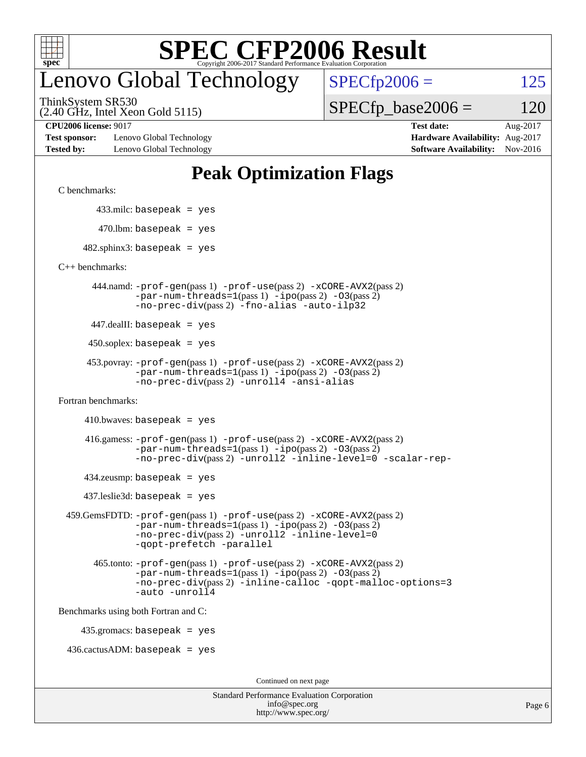

### enovo Global Technology

 $SPECfp2006 = 125$  $SPECfp2006 = 125$ 

(2.40 GHz, Intel Xeon Gold 5115) ThinkSystem SR530

 $SPECTp\_base2006 = 120$ 

**[Test sponsor:](http://www.spec.org/auto/cpu2006/Docs/result-fields.html#Testsponsor)** Lenovo Global Technology **[Hardware Availability:](http://www.spec.org/auto/cpu2006/Docs/result-fields.html#HardwareAvailability)** Aug-2017 **[Tested by:](http://www.spec.org/auto/cpu2006/Docs/result-fields.html#Testedby)** Lenovo Global Technology **[Software Availability:](http://www.spec.org/auto/cpu2006/Docs/result-fields.html#SoftwareAvailability)** Nov-2016

**[CPU2006 license:](http://www.spec.org/auto/cpu2006/Docs/result-fields.html#CPU2006license)** 9017 **[Test date:](http://www.spec.org/auto/cpu2006/Docs/result-fields.html#Testdate)** Aug-2017

#### **[Peak Optimization Flags](http://www.spec.org/auto/cpu2006/Docs/result-fields.html#PeakOptimizationFlags)**

[C benchmarks](http://www.spec.org/auto/cpu2006/Docs/result-fields.html#Cbenchmarks):

433.milc: basepeak = yes

 $470$ .lbm: basepeak = yes

 $482$ .sphinx3: basepeak = yes

[C++ benchmarks:](http://www.spec.org/auto/cpu2006/Docs/result-fields.html#CXXbenchmarks)

 444.namd: [-prof-gen](http://www.spec.org/cpu2006/results/res2017q4/cpu2006-20170914-49340.flags.html#user_peakPASS1_CXXFLAGSPASS1_LDFLAGS444_namd_prof_gen_e43856698f6ca7b7e442dfd80e94a8fc)(pass 1) [-prof-use](http://www.spec.org/cpu2006/results/res2017q4/cpu2006-20170914-49340.flags.html#user_peakPASS2_CXXFLAGSPASS2_LDFLAGS444_namd_prof_use_bccf7792157ff70d64e32fe3e1250b55)(pass 2) [-xCORE-AVX2](http://www.spec.org/cpu2006/results/res2017q4/cpu2006-20170914-49340.flags.html#user_peakPASS2_CXXFLAGSPASS2_LDFLAGS444_namd_f-xCORE-AVX2)(pass 2)  $-par-num-threads=1(pass 1) -ipo(pass 2) -O3(pass 2)$  $-par-num-threads=1(pass 1) -ipo(pass 2) -O3(pass 2)$  $-par-num-threads=1(pass 1) -ipo(pass 2) -O3(pass 2)$  $-par-num-threads=1(pass 1) -ipo(pass 2) -O3(pass 2)$  $-par-num-threads=1(pass 1) -ipo(pass 2) -O3(pass 2)$  $-par-num-threads=1(pass 1) -ipo(pass 2) -O3(pass 2)$ [-no-prec-div](http://www.spec.org/cpu2006/results/res2017q4/cpu2006-20170914-49340.flags.html#user_peakPASS2_CXXFLAGSPASS2_LDFLAGS444_namd_f-no-prec-div)(pass 2) [-fno-alias](http://www.spec.org/cpu2006/results/res2017q4/cpu2006-20170914-49340.flags.html#user_peakCXXOPTIMIZEOPTIMIZE444_namd_f-no-alias_694e77f6c5a51e658e82ccff53a9e63a) [-auto-ilp32](http://www.spec.org/cpu2006/results/res2017q4/cpu2006-20170914-49340.flags.html#user_peakCXXOPTIMIZE444_namd_f-auto-ilp32)

447.dealII: basepeak = yes

 $450$ .soplex: basepeak = yes

```
 453.povray: -prof-gen(pass 1) -prof-use(pass 2) -xCORE-AVX2(pass 2)
-par-num-threads=1-ipo-O3(pass 2)-no-prec-div(pass 2) -unroll4 -ansi-alias
```
[Fortran benchmarks](http://www.spec.org/auto/cpu2006/Docs/result-fields.html#Fortranbenchmarks):

 $410.bwaves: basepeak = yes$ 

 416.gamess: [-prof-gen](http://www.spec.org/cpu2006/results/res2017q4/cpu2006-20170914-49340.flags.html#user_peakPASS1_FFLAGSPASS1_LDFLAGS416_gamess_prof_gen_e43856698f6ca7b7e442dfd80e94a8fc)(pass 1) [-prof-use](http://www.spec.org/cpu2006/results/res2017q4/cpu2006-20170914-49340.flags.html#user_peakPASS2_FFLAGSPASS2_LDFLAGS416_gamess_prof_use_bccf7792157ff70d64e32fe3e1250b55)(pass 2) [-xCORE-AVX2](http://www.spec.org/cpu2006/results/res2017q4/cpu2006-20170914-49340.flags.html#user_peakPASS2_FFLAGSPASS2_LDFLAGS416_gamess_f-xCORE-AVX2)(pass 2)  $-par-num-threads=1(pass 1) -ipo(pass 2) -O3(pass 2)$  $-par-num-threads=1(pass 1) -ipo(pass 2) -O3(pass 2)$  $-par-num-threads=1(pass 1) -ipo(pass 2) -O3(pass 2)$  $-par-num-threads=1(pass 1) -ipo(pass 2) -O3(pass 2)$  $-par-num-threads=1(pass 1) -ipo(pass 2) -O3(pass 2)$  $-par-num-threads=1(pass 1) -ipo(pass 2) -O3(pass 2)$ [-no-prec-div](http://www.spec.org/cpu2006/results/res2017q4/cpu2006-20170914-49340.flags.html#user_peakPASS2_FFLAGSPASS2_LDFLAGS416_gamess_f-no-prec-div)(pass 2) [-unroll2](http://www.spec.org/cpu2006/results/res2017q4/cpu2006-20170914-49340.flags.html#user_peakOPTIMIZE416_gamess_f-unroll_784dae83bebfb236979b41d2422d7ec2) [-inline-level=0](http://www.spec.org/cpu2006/results/res2017q4/cpu2006-20170914-49340.flags.html#user_peakOPTIMIZE416_gamess_f-inline-level_318d07a09274ad25e8d15dbfaa68ba50) [-scalar-rep-](http://www.spec.org/cpu2006/results/res2017q4/cpu2006-20170914-49340.flags.html#user_peakOPTIMIZE416_gamess_f-disablescalarrep_abbcad04450fb118e4809c81d83c8a1d)

 $434$ .zeusmp: basepeak = yes

437.leslie3d: basepeak = yes

```
 459.GemsFDTD: -prof-gen(pass 1) -prof-use(pass 2) -xCORE-AVX2(pass 2)
   -par-num-threads=1-ipo-O3(pass 2)-no-prec-div(pass 2) -unroll2 -inline-level=0
   -qopt-prefetch -parallel
```
 465.tonto: [-prof-gen](http://www.spec.org/cpu2006/results/res2017q4/cpu2006-20170914-49340.flags.html#user_peakPASS1_FFLAGSPASS1_LDFLAGS465_tonto_prof_gen_e43856698f6ca7b7e442dfd80e94a8fc)(pass 1) [-prof-use](http://www.spec.org/cpu2006/results/res2017q4/cpu2006-20170914-49340.flags.html#user_peakPASS2_FFLAGSPASS2_LDFLAGS465_tonto_prof_use_bccf7792157ff70d64e32fe3e1250b55)(pass 2) [-xCORE-AVX2](http://www.spec.org/cpu2006/results/res2017q4/cpu2006-20170914-49340.flags.html#user_peakPASS2_FFLAGSPASS2_LDFLAGS465_tonto_f-xCORE-AVX2)(pass 2)  $-par-num-threads=1(pass 1) -ipo(pass 2) -O3(pass 2)$  $-par-num-threads=1(pass 1) -ipo(pass 2) -O3(pass 2)$  $-par-num-threads=1(pass 1) -ipo(pass 2) -O3(pass 2)$  $-par-num-threads=1(pass 1) -ipo(pass 2) -O3(pass 2)$  $-par-num-threads=1(pass 1) -ipo(pass 2) -O3(pass 2)$  $-par-num-threads=1(pass 1) -ipo(pass 2) -O3(pass 2)$ [-no-prec-div](http://www.spec.org/cpu2006/results/res2017q4/cpu2006-20170914-49340.flags.html#user_peakPASS2_FFLAGSPASS2_LDFLAGS465_tonto_f-no-prec-div)(pass 2) [-inline-calloc](http://www.spec.org/cpu2006/results/res2017q4/cpu2006-20170914-49340.flags.html#user_peakOPTIMIZE465_tonto_f-inline-calloc) [-qopt-malloc-options=3](http://www.spec.org/cpu2006/results/res2017q4/cpu2006-20170914-49340.flags.html#user_peakOPTIMIZE465_tonto_f-qopt-malloc-options_0fcb435012e78f27d57f473818e45fe4) [-auto](http://www.spec.org/cpu2006/results/res2017q4/cpu2006-20170914-49340.flags.html#user_peakOPTIMIZE465_tonto_f-auto) [-unroll4](http://www.spec.org/cpu2006/results/res2017q4/cpu2006-20170914-49340.flags.html#user_peakOPTIMIZE465_tonto_f-unroll_4e5e4ed65b7fd20bdcd365bec371b81f)

[Benchmarks using both Fortran and C](http://www.spec.org/auto/cpu2006/Docs/result-fields.html#BenchmarksusingbothFortranandC):

435.gromacs: basepeak = yes

 $436.cactusADM:basepeak = yes$ 

Continued on next page

| <b>Standard Performance Evaluation Corporation</b> |
|----------------------------------------------------|
| info@spec.org                                      |
| http://www.spec.org/                               |